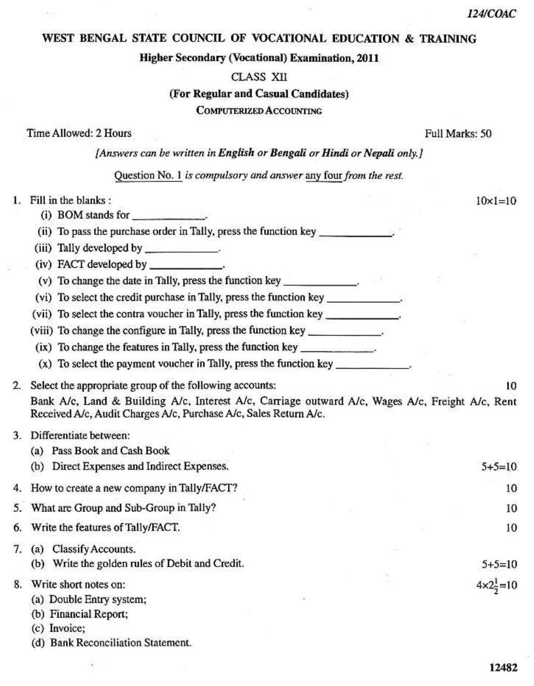$10 \times 1 = 10$ 

## WEST BENGAL STATE COUNCIL OF VOCATIONAL EDUCATION & TRAINING

#### **Higher Secondary (Vocational) Examination, 2011**

#### **CLASS XII**

#### (For Regular and Casual Candidates)

## **COMPUTERIZED ACCOUNTING**

Time Allowed: 2 Hours

Full Marks: 50

[Answers can be written in English or Bengali or Hindi or Nepali only.]

Question No. 1 is compulsory and answer any four from the rest.

# 1. Fill in the blanks:

- (i) BOM stands for
- (ii) To pass the purchase order in Tally, press the function key
- (iii) Tally developed by
- 
- (v) To change the date in Tally, press the function key
- (vi) To select the credit purchase in Tally, press the function key
- (vii) To select the contra voucher in Tally, press the function key \_\_\_\_\_\_\_\_\_\_\_\_.
- (viii) To change the configure in Tally, press the function key
	- (ix) To change the features in Tally, press the function key
	- (x) To select the payment voucher in Tally, press the function key
- 2. Select the appropriate group of the following accounts: 10 Bank A/c, Land & Building A/c, Interest A/c, Carriage outward A/c, Wages A/c, Freight A/c, Rent Received A/c, Audit Charges A/c, Purchase A/c, Sales Return A/c.

## 3. Differentiate between:

4 5

7

|    | (a)<br>Pass Book and Cash Book                  |                              |
|----|-------------------------------------------------|------------------------------|
|    | (b) Direct Expenses and Indirect Expenses.      | $5+5=10$                     |
|    | 4. How to create a new company in Tally/FACT?   | 10                           |
|    | 5. What are Group and Sub-Group in Tally?       | 10                           |
|    | 6. Write the features of Tally/FACT.            | 10                           |
|    | 7. (a) Classify Accounts.                       |                              |
|    | (b) Write the golden rules of Debit and Credit. | $5+5=10$                     |
| 8. | Write short notes on:                           | $4 \times 2\frac{1}{2} = 10$ |

- (a) Double Entry system;
	- (b) Financial Report;
	- (c) Invoice:
	- (d) Bank Reconciliation Statement.